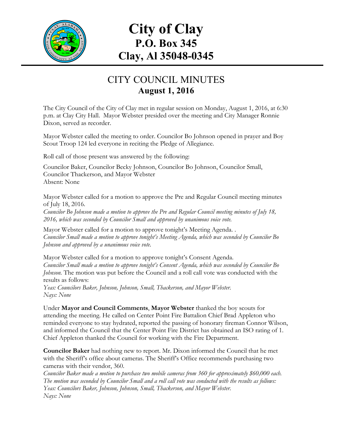

# **City of Clay P.O. Box 345 Clay, Al 35048-0345**

## CITY COUNCIL MINUTES **August 1, 2016**

The City Council of the City of Clay met in regular session on Monday, August 1, 2016, at 6:30 p.m. at Clay City Hall. Mayor Webster presided over the meeting and City Manager Ronnie Dixon, served as recorder.

Mayor Webster called the meeting to order. Councilor Bo Johnson opened in prayer and Boy Scout Troop 124 led everyone in reciting the Pledge of Allegiance.

Roll call of those present was answered by the following:

Councilor Baker, Councilor Becky Johnson, Councilor Bo Johnson, Councilor Small, Councilor Thackerson, and Mayor Webster Absent: None

Mayor Webster called for a motion to approve the Pre and Regular Council meeting minutes of July 18, 2016.

*Councilor Bo Johnson made a motion to approve the Pre and Regular Council meeting minutes of July 18, 2016, which was seconded by Councilor Small and approved by unanimous voice vote.*

Mayor Webster called for a motion to approve tonight's Meeting Agenda. . *Councilor Small made a motion to approve tonight's Meeting Agenda, which was seconded by Councilor Bo Johnson and approved by a unanimous voice vote.*

Mayor Webster called for a motion to approve tonight's Consent Agenda. *Councilor Small made a motion to approve tonight's Consent Agenda, which was seconded by Councilor Bo Johnson.* The motion was put before the Council and a roll call vote was conducted with the results as follows:

*Yeas: Councilors Baker, Johnson, Johnson, Small, Thackerson, and Mayor Webster. Nays: None*

Under **Mayor and Council Comments**, **Mayor Webster** thanked the boy scouts for attending the meeting. He called on Center Point Fire Battalion Chief Brad Appleton who reminded everyone to stay hydrated, reported the passing of honorary fireman Connor Wilson, and informed the Council that the Center Point Fire District has obtained an ISO rating of 1. Chief Appleton thanked the Council for working with the Fire Department.

**Councilor Baker** had nothing new to report. Mr. Dixon informed the Council that he met with the Sheriff's office about cameras. The Sheriff's Office recommends purchasing two cameras with their vendor, 360.

*Councilor Baker made a motion to purchase two mobile cameras from 360 for approximately \$60,000 each. The motion was seconded by Councilor Small and a roll call vote was conducted with the results as follows: Yeas: Councilors Baker, Johnson, Johnson, Small, Thackerson, and Mayor Webster. Nays: None*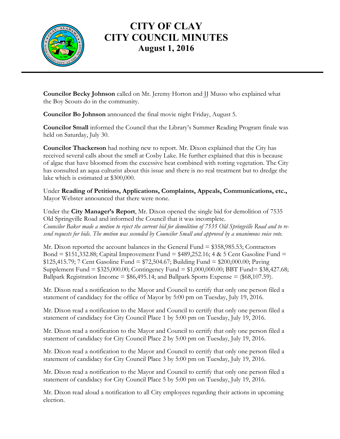

**Councilor Becky Johnson** called on Mr. Jeremy Horton and JJ Musso who explained what the Boy Scouts do in the community.

**Councilor Bo Johnson** announced the final movie night Friday, August 5.

**Councilor Small** informed the Council that the Library's Summer Reading Program finale was held on Saturday, July 30.

**Councilor Thackerson** had nothing new to report. Mr. Dixon explained that the City has received several calls about the smell at Cosby Lake. He further explained that this is because of algae that have bloomed from the excessive heat combined with rotting vegetation. The City has consulted an aqua culturist about this issue and there is no real treatment but to dredge the lake which is estimated at \$300,000.

Under **Reading of Petitions, Applications, Complaints, Appeals, Communications, etc.,** Mayor Webster announced that there were none.

Under the **City Manager's Report**, Mr. Dixon opened the single bid for demolition of 7535 Old Springville Road and informed the Council that it was incomplete. *Councilor Baker made a motion to reject the current bid for demolition of 7535 Old Springville Road and to resend requests for bids. The motion was seconded by Councilor Small and approved by a unanimous voice vote.*

Mr. Dixon reported the account balances in the General Fund = \$358,985.53; Contractors Bond =  $$151,332.88$ ; Capital Improvement Fund =  $$489,252.16$ ; 4 & 5 Cent Gasoline Fund = \$125,415.79; 7 Cent Gasoline Fund = \$72,504.67; Building Fund = \$200,000.00; Paving Supplement Fund = \$325,000.00; Contingency Fund = \$1,000,000.00; BBT Fund= \$38,427.68; Ballpark Registration Income =  $$86,495.14$ ; and Ballpark Sports Expense =  $(\$68,107.59)$ .

Mr. Dixon read a notification to the Mayor and Council to certify that only one person filed a statement of candidacy for the office of Mayor by 5:00 pm on Tuesday, July 19, 2016.

Mr. Dixon read a notification to the Mayor and Council to certify that only one person filed a statement of candidacy for City Council Place 1 by 5:00 pm on Tuesday, July 19, 2016.

Mr. Dixon read a notification to the Mayor and Council to certify that only one person filed a statement of candidacy for City Council Place 2 by 5:00 pm on Tuesday, July 19, 2016.

Mr. Dixon read a notification to the Mayor and Council to certify that only one person filed a statement of candidacy for City Council Place 3 by 5:00 pm on Tuesday, July 19, 2016.

Mr. Dixon read a notification to the Mayor and Council to certify that only one person filed a statement of candidacy for City Council Place 5 by 5:00 pm on Tuesday, July 19, 2016.

Mr. Dixon read aloud a notification to all City employees regarding their actions in upcoming election.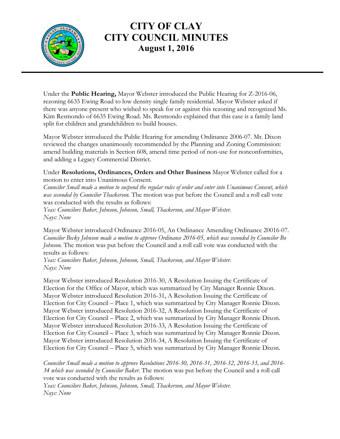

Under the **Public Hearing,** Mayor Webster introduced the Public Hearing for Z-2016-06, rezoning 6635 Ewing Road to low density single family residential. Mayor Webster asked if there was anyone present who wished to speak for or against this rezoning and recognized Ms. Kim Resmondo of 6635 Ewing Road. Ms. Resmondo explained that this case is a family land split for children and grandchildren to build houses.

Mayor Webster introduced the Public Hearing for amending Ordinance 2006-07. Mr. Dixon reviewed the changes unanimously recommended by the Planning and Zoning Commission: amend building materials in Section 608, amend time period of non-use for nonconformities, and adding a Legacy Commercial District.

Under **Resolutions, Ordinances, Orders and Other Business** Mayor Webster called for a motion to enter into Unanimous Consent.

*Councilor Small made a motion to suspend the regular rules of order and enter into Unanimous Consent, which was seconded by Councilor Thackerson.* The motion was put before the Council and a roll call vote was conducted with the results as follows: *Yeas: Councilors Baker, Johnson, Johnson, Small, Thackerson, and Mayor Webster.*

*Nays: None*

Mayor Webster introduced Ordinance 2016-05, An Ordinance Amending Ordinance 20016-07. *Councilor Becky Johnson made a motion to approve Ordinance 2016-05, which was seconded by Councilor Bo Johnson*. The motion was put before the Council and a roll call vote was conducted with the results as follows:

*Yeas: Councilors Baker, Johnson, Johnson, Small, Thackerson, and Mayor Webster. Nays: None*

Mayor Webster introduced Resolution 2016-30, A Resolution Issuing the Certificate of Election for the Office of Mayor, which was summarized by City Manager Ronnie Dixon. Mayor Webster introduced Resolution 2016-31, A Resolution Issuing the Certificate of Election for City Council – Place 1, which was summarized by City Manager Ronnie Dixon. Mayor Webster introduced Resolution 2016-32, A Resolution Issuing the Certificate of Election for City Council – Place 2, which was summarized by City Manager Ronnie Dixon. Mayor Webster introduced Resolution 2016-33, A Resolution Issuing the Certificate of Election for City Council – Place 3, which was summarized by City Manager Ronnie Dixon. Mayor Webster introduced Resolution 2016-34, A Resolution Issuing the Certificate of Election for City Council – Place 5, which was summarized by City Manager Ronnie Dixon.

*Councilor Small made a motion to approve Resolutions 2016-30, 2016-31, 2016-32, 2016-33, and 2016- 34 which was seconded by Councilor Baker.* The motion was put before the Council and a roll call vote was conducted with the results as follows:

*Yeas: Councilors Baker, Johnson, Johnson, Small, Thackerson, and Mayor Webster. Nays: None*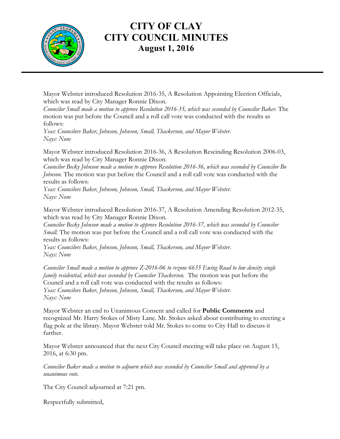

Mayor Webster introduced Resolution 2016-35, A Resolution Appointing Election Officials, which was read by City Manager Ronnie Dixon.

*Councilor Small made a motion to approve Resolution 2016-35, which was seconded by Councilor Baker.* The motion was put before the Council and a roll call vote was conducted with the results as follows:

*Yeas: Councilors Baker, Johnson, Johnson, Small, Thackerson, and Mayor Webster. Nays: None*

Mayor Webster introduced Resolution 2016-36, A Resolution Rescinding Resolution 2006-03, which was read by City Manager Ronnie Dixon.

*Councilor Becky Johnson made a motion to approve Resolution 2016-36, which was seconded by Councilor Bo Johnson.* The motion was put before the Council and a roll call vote was conducted with the results as follows:

*Yeas: Councilors Baker, Johnson, Johnson, Small, Thackerson, and Mayor Webster. Nays: None*

Mayor Webster introduced Resolution 2016-37, A Resolution Amending Resolution 2012-35, which was read by City Manager Ronnie Dixon.

*Councilor Becky Johnson made a motion to approve Resolution 2016-37, which was seconded by Councilor Small.* The motion was put before the Council and a roll call vote was conducted with the results as follows:

*Yeas: Councilors Baker, Johnson, Johnson, Small, Thackerson, and Mayor Webster. Nays: None*

*Councilor Small made a motion to approve Z-2016-06 to rezone 6635 Ewing Road to low density single family residential, which was seconded by Councilor Thackerson.* The motion was put before the Council and a roll call vote was conducted with the results as follows: *Yeas: Councilors Baker, Johnson, Johnson, Small, Thackerson, and Mayor Webster. Nays: None*

Mayor Webster an end to Unanimous Consent and called for **Public Comments** and recognized Mr. Harry Stokes of Misty Lane. Mr. Stokes asked about contributing to erecting a flag pole at the library. Mayor Webster told Mr. Stokes to come to City Hall to discuss it further.

Mayor Webster announced that the next City Council meeting will take place on August 15, 2016, at 6:30 pm.

*Councilor Baker made a motion to adjourn which was seconded by Councilor Small and approved by a unanimous vote.*

The City Council adjourned at 7:21 pm.

Respectfully submitted,